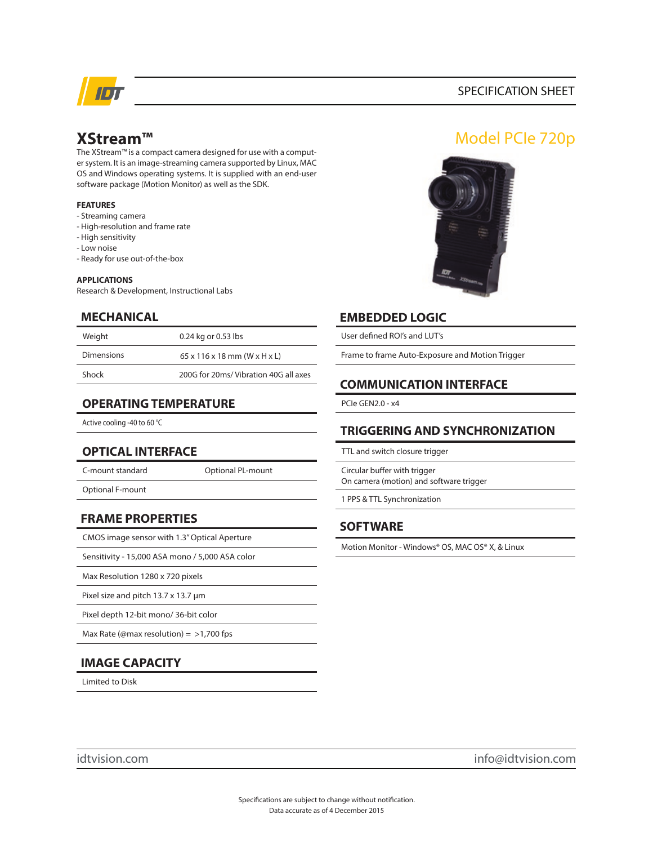

### SPECIFICATION SHEET

# **XStream™**

The XStream™ is a compact camera designed for use with a computer system. It is an image-streaming camera supported by Linux, MAC OS and Windows operating systems. It is supplied with an end-user software package (Motion Monitor) as well as the SDK.

#### **FEATURES**

- Streaming camera
- High-resolution and frame rate
- High sensitivity
- Low noise
- Ready for use out-of-the-box

#### **APPLICATIONS**

Research & Development, Instructional Labs

### **MECHANICAL**

| Weight            | 0.24 kg or 0.53 lbs                                    |
|-------------------|--------------------------------------------------------|
| <b>Dimensions</b> | $65 \times 116 \times 18$ mm (W $\times$ H $\times$ L) |
| Shock             | 200G for 20ms/Vibration 40G all axes                   |

### **OPERATING TEMPERATURE**

Active cooling -40 to 60 °C

# **OPTICAL INTERFACE**

C-mount standard

Optional PL-mount

Optional F-mount

**FRAME PROPERTIES**

CMOS image sensor with 1.3" Optical Aperture

Sensitivity - 15,000 ASA mono / 5,000 ASA color

Max Resolution 1280 x 720 pixels

Pixel size and pitch 13.7 x 13.7 µm

Pixel depth 12-bit mono/ 36-bit color

Max Rate (@max resolution) =  $>1,700$  fps

# **IMAGE CAPACITY**

Limited to Disk

# Model PCIe 720p



## **EMBEDDED LOGIC**

User defined ROI's and LUT's

Frame to frame Auto-Exposure and Motion Trigger

### **COMMUNICATION INTERFACE**

PCIe GEN2.0 - x4

# **TRIGGERING AND SYNCHRONIZATION**

TTL and switch closure trigger

Circular buffer with trigger On camera (motion) and software trigger

1 PPS & TTL Synchronization

# **SOFTWARE**

Motion Monitor - Windows® OS, MAC OS® X, & Linux

idtvision.com info@idtvision.com